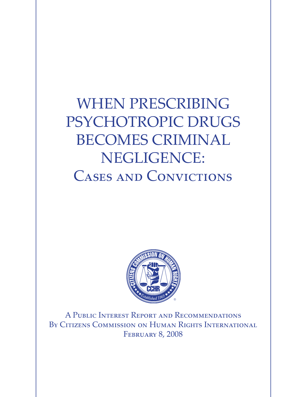WHEN PRESCRIBING PSYCHOTROPIC DRUGS BECOMES CRIMINAL NEGLIGENCE: Cases and Convictions



A Public Interest Report and Recommendations BY CITIZENS COMMISSION ON HUMAN RIGHTS INTERNATIONAL February 8, 2008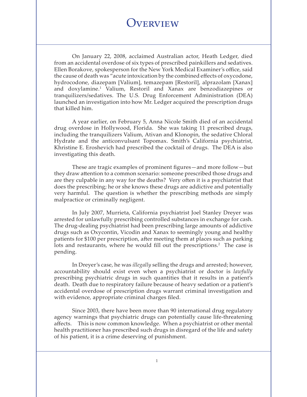#### Overview

On January 22, 2008, acclaimed Australian actor, Heath Ledger, died from an accidental overdose of six types of prescribed painkillers and sedatives. Ellen Borakove, spokesperson for the New York Medical Examiner's office, said the cause of death was "acute intoxication by the combined effects of oxycodone, hydrocodone, diazepam [Valium], temazepam [Restoril], alprazolam [Xanax] and doxylamine.<sup>1</sup> Valium, Restoril and Xanax are benzodiazepines or tranquilizers/sedatives. The U.S. Drug Enforcement Administration (DEA) launched an investigation into how Mr. Ledger acquired the prescription drugs that killed him.

A year earlier, on February 5, Anna Nicole Smith died of an accidental drug overdose in Hollywood, Florida. She was taking 11 prescribed drugs, including the tranquilizers Valium, Ativan and Klonopin, the sedative Chloral Hydrate and the anticonvulsant Topomax. Smith's California psychiatrist, Khristine E. Eroshevich had prescribed the cocktail of drugs. The DEA is also investigating this death.

These are tragic examples of prominent figures—and more follow—but they draw attention to a common scenario: someone prescribed those drugs and are they culpable in any way for the deaths? Very often it is a psychiatrist that does the prescribing; he or she knows these drugs are addictive and potentially very harmful. The question is whether the prescribing methods are simply malpractice or criminally negligent.

In July 2007, Murrieta, California psychiatrist Joel Stanley Dreyer was arrested for unlawfully prescribing controlled substances in exchange for cash. The drug-dealing psychiatrist had been prescribing large amounts of addictive drugs such as Oxycontin, Vicodin and Xanax to seemingly young and healthy patients for \$100 per prescription, after meeting them at places such as parking lots and restaurants, where he would fill out the prescriptions.<sup>2</sup> The case is pending.

In Dreyer's case, he was *illegally* selling the drugs and arrested; however, accountability should exist even when a psychiatrist or doctor is *lawfully* prescribing psychiatric drugs in such quantities that it results in a patient's death. Death due to respiratory failure because of heavy sedation or a patient's accidental overdose of prescription drugs warrant criminal investigation and with evidence, appropriate criminal charges filed.

Since 2003, there have been more than 90 international drug regulatory agency warnings that psychiatric drugs can potentially cause life-threatening affects. This is now common knowledge. When a psychiatrist or other mental health practitioner has prescribed such drugs in disregard of the life and safety of his patient, it is a crime deserving of punishment.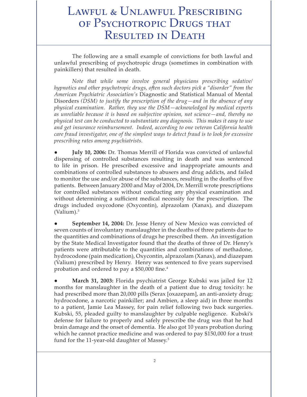### LAWFUL & UNLAWFUL PRESCRIBING of Psychotropic Drugs that Resulted in Death

The following are a small example of convictions for both lawful and unlawful prescribing of psychotropic drugs (sometimes in combination with painkillers) that resulted in death.

*Note that while some involve general physicians prescribing sedative/ hypnotics and other psychotropic drugs, often such doctors pick a "disorder" from the American Psychiatric Association's* Diagnostic and Statistical Manual of Mental Disorders *(DSM) to justify the prescription of the drug—and in the absence of any physical examination. Rather, they use the DSM—acknowledged by medical experts as unreliable because it is based on subjective opinion, not science—and, thereby no physical test can be conducted to substantiate any diagnosis. This makes it easy to use and get insurance reimbursement. Indeed, according to one veteran California health care fraud investigator, one of the simplest ways to detect fraud is to look for excessive prescribing rates among psychiatrists.*

July 10, 2006: Dr. Thomas Merrill of Florida was convicted of unlawful dispensing of controlled substances resulting in death and was sentenced to life in prison. He prescribed excessive and inappropriate amounts and combinations of controlled substances to abusers and drug addicts, and failed to monitor the use and/or abuse of the substances, resulting in the deaths of five patients. Between January 2000 and May of 2004, Dr. Merrill wrote prescriptions for controlled substances without conducting any physical examination and without determining a sufficient medical necessity for the prescription. The drugs included oxycodone (Oxycontin), alprazolam (Xanax), and diazepam (Valium).3

September 14, 2004: Dr. Jesse Henry of New Mexico was convicted of seven counts of involuntary manslaughter in the deaths of three patients due to the quantities and combinations of drugs he prescribed them. An investigation by the State Medical Investigator found that the deaths of three of Dr. Henry's patients were attributable to the quantities and combinations of methadone, hydrocodone (pain medication), Oxycontin, alprazolam (Xanax), and diazepam (Valium) prescribed by Henry. Henry was sentenced to five years supervised probation and ordered to pay a \$50,000 fine.<sup>4</sup>

● **March 31, 2003:** Florida psychiatrist George Kubski was jailed for 12 months for manslaughter in the death of a patient due to drug toxicity: he had prescribed more than 20,000 pills (Serax [oxazepam], an anti-anxiety drug; hydrocodone, a narcotic painkiller; and Ambien, a sleep aid) in three months to a patient, Jamie Lea Massey, for pain relief following two back surgeries. Kubski, 55, pleaded guilty to manslaughter by culpable negligence. Kubski's defense for failure to properly and safely prescribe the drug was that he had brain damage and the onset of dementia. He also got 10 years probation during which he cannot practice medicine and was ordered to pay \$150,000 for a trust fund for the 11-year-old daughter of Massey.<sup>5</sup>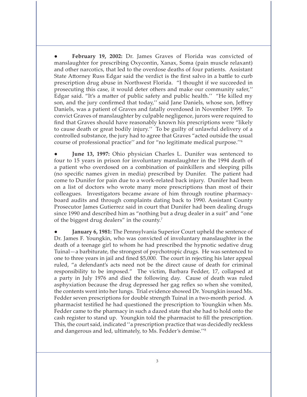February 19, 2002: Dr. James Graves of Florida was convicted of manslaughter for prescribing Oxycontin, Xanax, Soma (pain muscle relaxant) and other narcotics, that led to the overdose deaths of four patients. Assistant State Attorney Russ Edgar said the verdict is the first salvo in a battle to curb prescription drug abuse in Northwest Florida. "I thought if we succeeded in prosecuting this case, it would deter others and make our community safer,'' Edgar said. "It's a matter of public safety and public health.'' "He killed my son, and the jury confirmed that today,'' said Jane Daniels, whose son, Jeffrey Daniels, was a patient of Graves and fatally overdosed in November 1999. To convict Graves of manslaughter by culpable negligence, jurors were required to find that Graves should have reasonably known his prescriptions were "likely to cause death or great bodily injury.'' To be guilty of unlawful delivery of a controlled substance, the jury had to agree that Graves "acted outside the usual course of professional practice'' and for "no legitimate medical purpose.''<sup>6</sup>

June 13, 1997: Ohio physician Charles L. Dunifer was sentenced to four to 15 years in prison for involuntary manslaughter in the 1994 death of a patient who overdosed on a combination of painkillers and sleeping pills (no specific names given in media) prescribed by Dunifer. The patient had come to Dunifer for pain due to a work-related back injury. Dunifer had been on a list of doctors who wrote many more prescriptions than most of their colleagues. Investigators became aware of him through routine pharmacyboard audits and through complaints dating back to 1990. Assistant County Prosecutor James Gutierrez said in court that Dunifer had been dealing drugs since 1990 and described him as "nothing but a drug dealer in a suit" and "one of the biggest drug dealers" in the county.<sup>7</sup>

**January 6, 1981:** The Pennsylvania Superior Court upheld the sentence of Dr. James F. Youngkin, who was convicted of involuntary manslaughter in the death of a teenage girl to whom he had prescribed the hypnotic sedative drug Tuinal—a barbiturate, the strongest of psychotropic drugs. He was sentenced to one to three years in jail and fined \$5,000. The court in rejecting his later appeal ruled, "a defendant's acts need not be the direct cause of death for criminal responsibility to be imposed." The victim, Barbara Fedder, 17, collapsed at a party in July 1976 and died the following day. Cause of death was ruled asphyxiation because the drug depressed her gag reflex so when she vomited, the contents went into her lungs. Trial evidence showed Dr. Youngkin issued Ms. Fedder seven prescriptions for double strength Tuinal in a two-month period. A pharmacist testified he had questioned the prescription to Youngkin when Ms. Fedder came to the pharmacy in such a dazed state that she had to hold onto the cash register to stand up. Youngkin told the pharmacist to fill the prescription. This, the court said, indicated ''a prescription practice that was decidedly reckless and dangerous and led, ultimately, to Ms. Fedder's demise.''8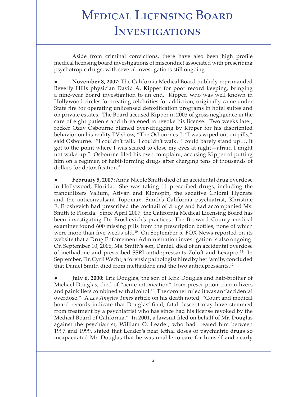# Medical Licensing Board **INVESTIGATIONS**

Aside from criminal convictions, there have also been high profile medical licensing board investigations of misconduct associated with prescribing psychotropic drugs, with several investigations still ongoing.

● **November 8, 2007:** The California Medical Board publicly reprimanded Beverly Hills physician David A. Kipper for poor record keeping, bringing a nine-year Board investigation to an end. Kipper, who was well known in Hollywood circles for treating celebrities for addiction, originally came under State fire for operating unlicensed detoxification programs in hotel suites and on private estates. The Board accused Kipper in 2003 of gross negligence in the care of eight patients and threatened to revoke his license. Two weeks later, rocker Ozzy Osbourne blamed over-drugging by Kipper for his disoriented behavior on his reality TV show, "The Osbournes." "I was wiped out on pills," said Osbourne. "I couldn't talk. I couldn't walk. I could barely stand up…. It got to the point where I was scared to close my eyes at night—afraid I might not wake up." Osbourne filed his own complaint, accusing Kipper of putting him on a regimen of habit-forming drugs after charging tens of thousands of dollars for detoxification.<sup>9</sup>

● **February 5, 2007:** Anna Nicole Smith died of an accidental drug overdose in Hollywood, Florida. She was taking 11 prescribed drugs, including the tranquilizers Valium, Ativan and Klonopin, the sedative Chloral Hydrate and the anticonvulsant Topomax. Smith's California psychiatrist, Khristine E. Eroshevich had prescribed the cocktail of drugs and had accompanied Ms. Smith to Florida. Since April 2007, the California Medical Licensing Board has been investigating Dr. Eroshevich's practices. The Broward County medical examiner found 600 missing pills from the prescription bottles, none of which were more than five weeks old.<sup>10</sup> On September 5, FOX News reported on its website that a Drug Enforcement Administration investigation is also ongoing. On September 10, 2006, Ms. Smith's son, Daniel, died of an accidental overdose of methadone and prescribed SSRI antidepressants Zoloft and Lexapro.11 In September, Dr. Cyril Wecht, a forensic pathologist hired by her family, concluded that Daniel Smith died from methadone and the two antidepressants.<sup>12</sup>

July 6, 2000: Eric Douglas, the son of Kirk Douglas and half-brother of Michael Douglas, died of "acute intoxication" from prescription tranquilizers and painkillers combined with alcohol.<sup>13</sup> The coroner ruled it was an "accidental overdose." A *Los Angeles Times* article on his death noted, "Court and medical board records indicate that Douglas' final, fatal descent may have stemmed from treatment by a psychiatrist who has since had his license revoked by the Medical Board of California." In 2001, a lawsuit filed on behalf of Mr. Douglas against the psychiatrist, William O. Leader, who had treated him between 1997 and 1999, stated that Leader's near lethal doses of psychiatric drugs so incapacitated Mr. Douglas that he was unable to care for himself and nearly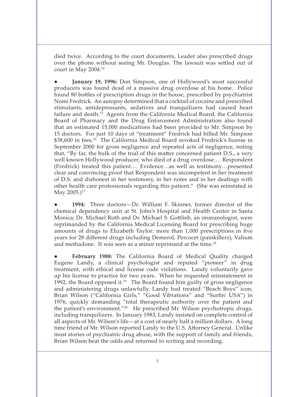died twice. According to the court documents, Leader also prescribed drugs over the phone without seeing Mr. Douglas. The lawsuit was settled out of court in May 2004.14

Investigations

January 19, 1996: Don Simpson, one of Hollywood's most successful producers was found dead of a massive drug overdose at his home. Police found 80 bottles of prescription drugs in the house, prescribed by psychiatrist Nomi Fredrick. An autopsy determined that a cocktail of cocaine and prescribed stimulants, antidepressants, sedatives and tranquilizers had caused heart failure and death.<sup>15</sup> Agents from the California Medical Board, the California Board of Pharmacy and the Drug Enforcement Administration also found that an estimated 15,000 medications had been provided to Mr. Simpson by 15 doctors. For just 10 days of "treatment" Fredrick had billed Mr. Simpson \$38,600 in fees.<sup>16</sup> The California Medical Board revoked Fredrick's license in September 2000 for gross negligence and repeated acts of negligence, noting that, "By far, the bulk of the trial of this matter concerned patient D.S., a very well known Hollywood producer, who died of a drug overdose…. Respondent (Fredrick) treated this patient…. Evidence…as well as testimony…presented clear and convincing proof that Respondent was incompetent in her treatment of D.S. and dishonest in her testimony, in her notes and in her dealings with other health care professionals regarding this patient." (She was reinstated in May  $2005.$ )<sup>17</sup>

● **1994:** Three doctors—Dr. William F. Skinner, former director of the chemical dependency unit at St. John's Hospital and Health Center in Santa Monica; Dr. Michael Roth and Dr. Michael S. Gottlieb, an immunologist, were reprimanded by the California Medical Licensing Board for prescribing huge amounts of drugs to Elizabeth Taylor: more than 1,000 prescriptions in five years for 28 different drugs including Demerol, Percocet (painkillers), Valium and methadone. It was seen as a minor reprimand at the time.<sup>18</sup>

February 1988: The California Board of Medical Quality charged Eugene Landy, a clinical psychologist and reputed "pioneer" in drug treatment, with ethical and license code violations. Landy voluntarily gave up his license to practice for two years. When he requested reinstatement in 1992, the Board opposed it.<sup>19</sup> The Board found him guilty of gross negligence and administering drugs unlawfully. Landy had treated "Beach Boys" icon, Brian Wilson ("California Girls," "Good Vibrations" and "Surfin' USA") in 1976, quickly demanding "total therapeutic authority over the patient and the patient's environment."20 He prescribed Mr. Wilson psychotropic drugs, including tranquilizers. In January 1983, Landy insisted on complete control of all aspects of Mr. Wilson's life—at a cost of nearly half a million dollars. A long time friend of Mr. Wilson reported Landy to the U.S. Attorney General. Unlike most stories of psychiatric drug abuse, with the support of family and friends, Brian Wilson beat the odds and returned to writing and recording.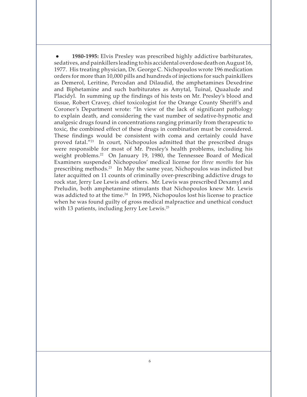● **1980-1995:** Elvis Presley was prescribed highly addictive barbiturates, sedatives, and painkillers leading to his accidental overdose death on August 16, 1977. His treating physician, Dr. George C. Nichopoulos wrote 196 medication orders for more than 10,000 pills and hundreds of injections for such painkillers as Demerol, Leritine, Percodan and Dilaudid, the amphetamines Dexedrine and Biphetamine and such barbiturates as Amytal, Tuinal, Quaalude and Placidyl. In summing up the findings of his tests on Mr. Presley's blood and tissue, Robert Cravey, chief toxicologist for the Orange County Sheriff's and Coroner's Department wrote: "In view of the lack of significant pathology to explain death, and considering the vast number of sedative-hypnotic and analgesic drugs found in concentrations ranging primarily from therapeutic to toxic, the combined effect of these drugs in combination must be considered. These findings would be consistent with coma and certainly could have proved fatal."<sup>21</sup> In court, Nichopoulos admitted that the prescribed drugs were responsible for most of Mr. Presley's health problems, including his weight problems.<sup>22</sup> On January 19, 1980, the Tennessee Board of Medical Examiners suspended Nichopoulos' medical license for *three months* for his prescribing methods.23 In May the same year, Nichopoulos was indicted but later acquitted on 11 counts of criminally over-prescribing addictive drugs to rock star, Jerry Lee Lewis and others. Mr. Lewis was prescribed Dexamyl and Preludin, both amphetamine stimulants that Nichopoulos knew Mr. Lewis was addicted to at the time.<sup>24</sup> In 1995, Nichopoulos lost his license to practice when he was found guilty of gross medical malpractice and unethical conduct with 13 patients, including Jerry Lee Lewis.<sup>25</sup>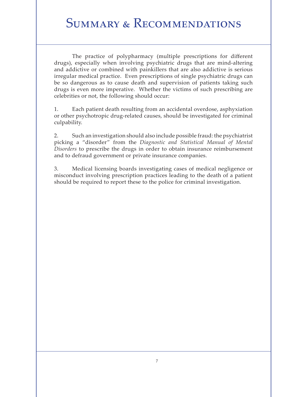## SUMMARY & RECOMMENDATIONS

The practice of polypharmacy (multiple prescriptions for different drugs), especially when involving psychiatric drugs that are mind-altering and addictive or combined with painkillers that are also addictive is serious irregular medical practice. Even prescriptions of single psychiatric drugs can be so dangerous as to cause death and supervision of patients taking such drugs is even more imperative. Whether the victims of such prescribing are celebrities or not, the following should occur:

1. Each patient death resulting from an accidental overdose, asphyxiation or other psychotropic drug-related causes, should be investigated for criminal culpability.

2. Such an investigation should also include possible fraud: the psychiatrist picking a "disorder" from the *Diagnostic and Statistical Manual of Mental Disorders* to prescribe the drugs in order to obtain insurance reimbursement and to defraud government or private insurance companies.

3. Medical licensing boards investigating cases of medical negligence or misconduct involving prescription practices leading to the death of a patient should be required to report these to the police for criminal investigation.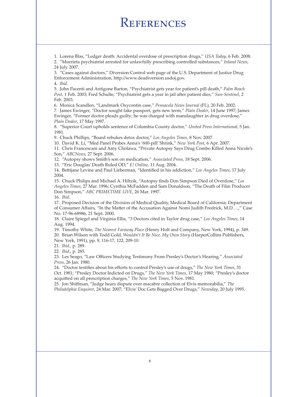### **REFERENCES**

1. Lorena Blas, "Ledger death: Accidental overdose of prescription drugs," *USA Today*, 6 Feb. 2008. 2. "Murrieta psychiatrist arrested for unlawfully prescribing controlled substances," *Inland News*, 24 July 2007.

3. "Cases against doctors," Diversion Control web page of the U.S. Department of Justice Drug Enforcement Administration, http://www.deadiversion.usdoj.gov.

4. *Ibid*.

5. John Pacenti and Antigone Barton, "Psychiatrist gets year for patient's pill death," *Palm Beach Post*, 1 Feb. 2003; Fred Schulte, "Psychiatrist gets a year in jail after patient dies," *Sun-Sentinel*, 2 Feb. 2003.

6. Monica Scandlen, "Landmark Oxycontin case," *Pensacola News Journal* (FL), 20 Feb. 2002.

7. James Ewinger, "Doctor sought fake passport, gets new term," *Plain Dealer*, 14 June 1997; James Ewinger, "Former doctor pleads guilty; he was charged with manslaughter in drug overdose," *Plain Dealer*, 17 May 1997.

8. "Superior Court upholds sentence of Columbia County doctor," *United Press International*, 5 Jan. 1981.

9. Chuck Phillips, "Board rebukes detox doctor," *Los Angeles Times*, 8 Nov. 2007.

10. David K. Li, "Med Panel Probes Anna's '600-pill' Shrink," *New York Post*, 6 Apr. 2007.

11. Chris Francescani and Amy Cholawa, "Private Autopsy Says Drug Combo Killed Anna Nicole's Son," *ABCNews*, 27 Sept. 2006.

12. "Autopsy shows Smith's son on medication," *Associated Press*, 18 Sept. 2006.

13. "Eric Douglas' Death Ruled OD," *E! Online*, 11 Aug. 2004.

14. Bettijane Levine and Paul Lieberman, "Identified in his addiction," *Los Angeles Times*, 17 July 2004.

15. Chuck Philips and Michael A. Hiltzik, "Autopsy finds Don Simpson Died of Overdose," *Los Angeles Times*, 27 Mar. 1996; Cynthia McFadden and Sam Donaldson, "The Death of Film Producer Don Simpson," *ABC PRIMETIME LIVE*, 26 Mar. 1997.

16. *Ibid*.

17. Proposed Decision of the Division of Medical Quality, Medical Board of California, Department of Consumer Affairs, "In the Matter of the Accusation Against Nomi Judith Fredrick, M.D….," Case No. 17-96-68986, 21 Sept. 2000.

18. Claire Spiegel and Virginia Ellis, "3 Doctors cited in Taylor drug case," *Los Angeles Times*, 14 Aug. 1994.

19. Timothy White, *The Nearest Faraway Place* (Henry Holt and Company, New York, 1994), p. 349. 20. Brian Wilson with Todd Gold, *Wouldn't It Be Nice, My Own Story* (HarperCollins Publishers, New York, 1991), pp. 9, 116-17, 122, 209-10.

21. *Ibid*., p. 289.

22. *Ibid*., p. 285.

23. Les Seago, "Law Officers Studying Testimony From Presley's Doctor's Hearing," *Associated Press*, 26 Jan. 1980.

24. "Doctor testifies about his efforts to control Presley's use of drugs," *The New York Times*, 31 Oct. 1981; "Presley Doctor Indicted on Drugs," *The New York Times*, 17 May 1980; "Presley's doctor acquitted on all prescription charges," *The New York Times*, 5 Nov. 1981.

25. Jon Shiffman, "Judge hears dispute over macabre collection of Elvis memorabilia," *The Philadelphia Enquirer*, 24 Mar. 2007; "Elvis' Doc Gets Bagged Over Drugs," *Newsday*, 20 July 1995.